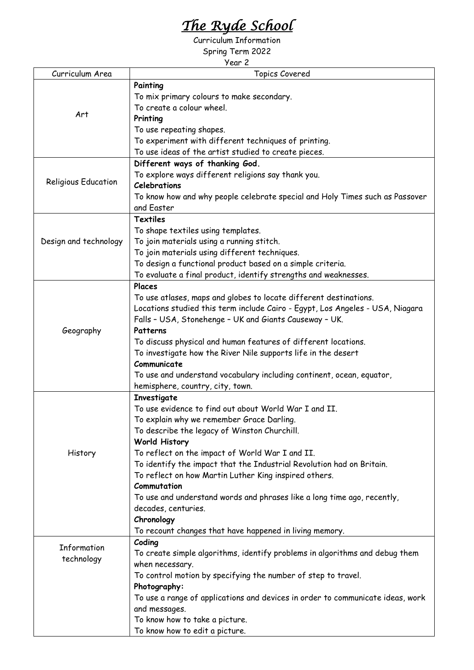## *The Ryde School*

Curriculum Information

Spring Term 2022

| Year 2                |                                                                                |  |
|-----------------------|--------------------------------------------------------------------------------|--|
| Curriculum Area       | <b>Topics Covered</b>                                                          |  |
| Art                   | Painting                                                                       |  |
|                       | To mix primary colours to make secondary.                                      |  |
|                       | To create a colour wheel.                                                      |  |
|                       | Printing                                                                       |  |
|                       | To use repeating shapes.                                                       |  |
|                       | To experiment with different techniques of printing.                           |  |
|                       | To use ideas of the artist studied to create pieces.                           |  |
| Religious Education   | Different ways of thanking God.                                                |  |
|                       | To explore ways different religions say thank you.                             |  |
|                       | Celebrations                                                                   |  |
|                       | To know how and why people celebrate special and Holy Times such as Passover   |  |
|                       | and Easter                                                                     |  |
| Design and technology | <b>Textiles</b>                                                                |  |
|                       | To shape textiles using templates.                                             |  |
|                       | To join materials using a running stitch.                                      |  |
|                       | To join materials using different techniques.                                  |  |
|                       | To design a functional product based on a simple criteria.                     |  |
|                       | To evaluate a final product, identify strengths and weaknesses.                |  |
|                       | Places                                                                         |  |
| Geography             | To use atlases, maps and globes to locate different destinations.              |  |
|                       | Locations studied this term include Cairo - Egypt, Los Angeles - USA, Niagara  |  |
|                       | Falls - USA, Stonehenge - UK and Giants Causeway - UK.                         |  |
|                       | Patterns                                                                       |  |
|                       | To discuss physical and human features of different locations.                 |  |
|                       | To investigate how the River Nile supports life in the desert                  |  |
|                       | Communicate                                                                    |  |
|                       | To use and understand vocabulary including continent, ocean, equator,          |  |
|                       | hemisphere, country, city, town.                                               |  |
|                       | Investigate                                                                    |  |
| History               | To use evidence to find out about World War I and II.                          |  |
|                       | To explain why we remember Grace Darling.                                      |  |
|                       | To describe the legacy of Winston Churchill.                                   |  |
|                       | <b>World History</b>                                                           |  |
|                       | To reflect on the impact of World War I and II.                                |  |
|                       | To identify the impact that the Industrial Revolution had on Britain.          |  |
|                       | To reflect on how Martin Luther King inspired others.                          |  |
|                       | Commutation                                                                    |  |
|                       | To use and understand words and phrases like a long time ago, recently,        |  |
|                       | decades, centuries.                                                            |  |
|                       | Chronology                                                                     |  |
|                       | To recount changes that have happened in living memory.                        |  |
|                       | Coding                                                                         |  |
| Information           | To create simple algorithms, identify problems in algorithms and debug them    |  |
| technology            | when necessary.                                                                |  |
|                       |                                                                                |  |
|                       | To control motion by specifying the number of step to travel.<br>Photography:  |  |
|                       | To use a range of applications and devices in order to communicate ideas, work |  |
|                       | and messages.                                                                  |  |
|                       | To know how to take a picture.                                                 |  |
|                       | To know how to edit a picture.                                                 |  |
|                       |                                                                                |  |